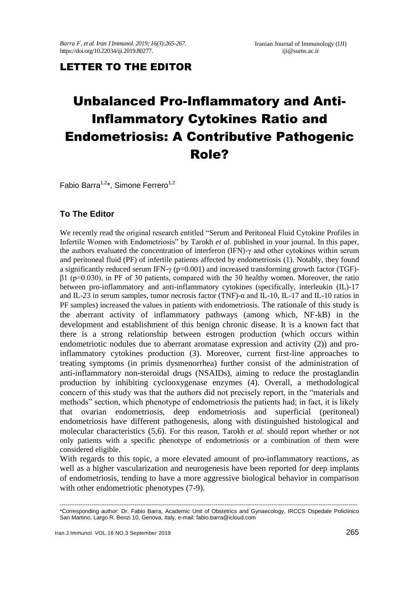# LETTER TO THE EDITOR

# Unbalanced Pro-Inflammatory and Anti-Inflammatory Cytokines Ratio and Endometriosis: A Contributive Pathogenic Role?

Fabio Barra<sup>1,2\*</sup>, Simone Ferrero<sup>1,2</sup>

# **To The Editor**

We recently read the original research entitled "Serum and Peritoneal Fluid Cytokine Profiles in Infertile Women with Endometriosis" by Tarokh *et al.* published in your journal. In this paper, the authors evaluated the concentration of interferon (IFN)-γ and other cytokines within serum and peritoneal fluid (PF) of infertile patients affected by endometriosis (1). Notably, they found a significantly reduced serum IFN- $\gamma$  (p=0.001) and increased transforming growth factor (TGF)β1 (p=0.030), in PF of 30 patients, compared with the 30 healthy women. Moreover, the ratio between pro-inflammatory and anti-inflammatory cytokines (specifically, interleukin (IL)-17 and IL-23 in serum samples, tumor necrosis factor (TNF)-α and IL-10, IL-17 and IL-10 ratios in PF samples) increased the values in patients with endometriosis. The rationale of this study is the aberrant activity of inflammatory pathways (among which, NF-kB) in the development and establishment of this benign chronic disease. It is a known fact that there is a strong relationship between estrogen production (which occurs within endometriotic nodules due to aberrant aromatase expression and activity (2)) and proinflammatory cytokines production (3). Moreover, current first-line approaches to treating symptoms (in primis dysmenorrhea) further consist of the administration of anti-inflammatory non-steroidal drugs (NSAIDs), aiming to reduce the prostaglandin production by inhibiting cyclooxygenase enzymes (4). Overall, a methodological concern of this study was that the authors did not precisely report, in the "materials and methods" section, which phenotype of endometriosis the patients had; in fact, it is likely that ovarian endometriosis, deep endometriosis and superficial (peritoneal) endometriosis have different pathogenesis, along with distinguished histological and molecular characteristics (5,6). For this reason, Tarokh *et al.* should report whether or not only patients with a specific phenotype of endometriosis or a combination of them were considered eligible.

With regards to this topic, a more elevated amount of pro-inflammatory reactions, as well as a higher vascularization and neurogenesis have been reported for deep implants of endometriosis, tending to have a more aggressive biological behavior in comparison with other endometriotic phenotypes (7-9).

<sup>---------------------------------------------------------------------------------------------------------------------------------------------------------------</sup> \*Corresponding author: Dr. Fabio Barra, Academic Unit of Obstetrics and Gynaecology, IRCCS Ospedale Policlinico San Martino, Largo R. Benzi 10, Genova, Italy, e-mail: fabio.barra@icloud.com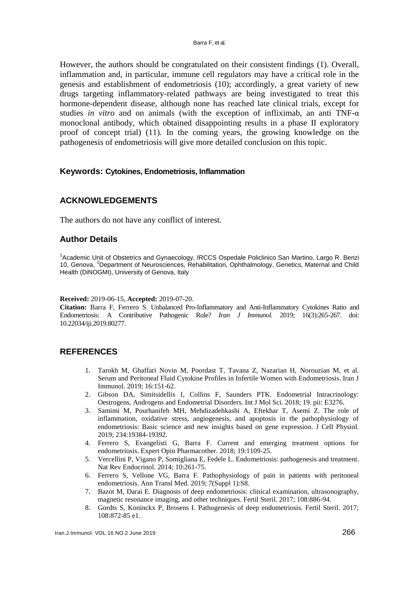However, the authors should be congratulated on their consistent findings (1). Overall, inflammation and, in particular, immune cell regulators may have a critical role in the genesis and establishment of endometriosis (10); accordingly, a great variety of new drugs targeting inflammatory-related pathways are being investigated to treat this hormone-dependent disease, although none has reached late clinical trials, except for studies *in vitro* and on animals (with the exception of infliximab, an anti TNF-α monoclonal antibody, which obtained disappointing results in a phase II exploratory proof of concept trial) (11). In the coming years, the growing knowledge on the pathogenesis of endometriosis will give more detailed conclusion on this topic.

#### **Keywords: Cytokines, Endometriosis, Inflammation**

# **ACKNOWLEDGEMENTS**

The authors do not have any conflict of interest.

# **Author Details**

<sup>1</sup>Academic Unit of Obstetrics and Gynaecology, IRCCS Ospedale Policlinico San Martino, Largo R. Benzi 10, Genova, <sup>2</sup>Department of Neurosciences, Rehabilitation, Ophthalmology, Genetics, Maternal and Child Health (DiNOGMI), University of Genova, Italy

**Received:** 2019-06-15, **Accepted:** 2019-07-20.

**Citation:** Barra F, Ferrero S. Unbalanced Pro-Inflammatory and Anti-Inflammatory Cytokines Ratio and Endometriosis: A Contributive Pathogenic Role? *Iran J Immunol.* 2019; 16(3):265-267. doi: 10.22034/iji.2019.80277.

#### **REFERENCES**

- 1. Tarokh M, Ghaffari Novin M, Poordast T, Tavana Z, Nazarian H, Norouzian M, et al. Serum and Peritoneal Fluid Cytokine Profiles in Infertile Women with Endometriosis. Iran J Immunol. 2019; 16:151-62.
- 2. Gibson DA, Simitsidellis I, Collins F, Saunders PTK. Endometrial Intracrinology: Oestrogens, Androgens and Endometrial Disorders. Int J Mol Sci. 2018; 19. pii: E3276.
- 3. Samimi M, Pourhanifeh MH, Mehdizadehkashi A, Eftekhar T, Asemi Z. The role of inflammation, oxidative stress, angiogenesis, and apoptosis in the pathophysiology of endometriosis: Basic science and new insights based on gene expression. J Cell Physiol. 2019; 234:19384-19392.
- 4. Ferrero S, Evangelisti G, Barra F. Current and emerging treatment options for endometriosis. Expert Opin Pharmacother. 2018; 19:1109-25.
- 5. Vercellini P, Vigano P, Somigliana E, Fedele L. Endometriosis: pathogenesis and treatment. Nat Rev Endocrinol. 2014; 10:261-75.
- 6. Ferrero S, Vellone VG, Barra F. Pathophysiology of pain in patients with peritoneal endometriosis. Ann Transl Med. 2019; 7(Suppl 1):S8.
- 7. Bazot M, Darai E. Diagnosis of deep endometriosis: clinical examination, ultrasonography, magnetic resonance imaging, and other techniques. Fertil Steril. 2017; 108:886-94.
- 8. Gordts S, Koninckx P, Brosens I. Pathogenesis of deep endometriosis. Fertil Steril. 2017; 108:872-85 e1.